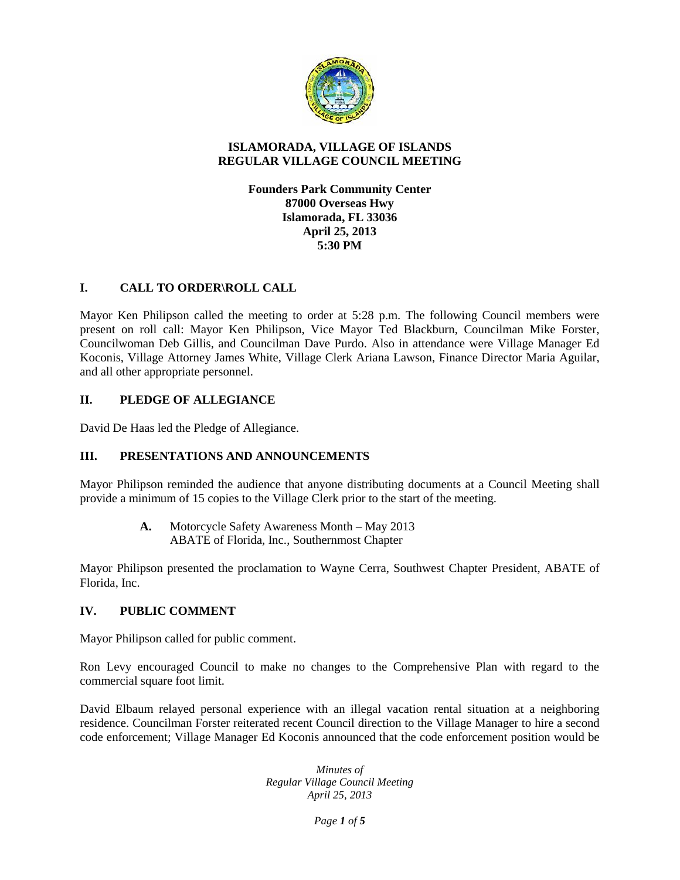

## **ISLAMORADA, VILLAGE OF ISLANDS REGULAR VILLAGE COUNCIL MEETING**

## **Founders Park Community Center 87000 Overseas Hwy Islamorada, FL 33036 April 25, 2013 5:30 PM**

# **I. CALL TO ORDER\ROLL CALL**

Mayor Ken Philipson called the meeting to order at 5:28 p.m. The following Council members were present on roll call: Mayor Ken Philipson, Vice Mayor Ted Blackburn, Councilman Mike Forster, Councilwoman Deb Gillis, and Councilman Dave Purdo. Also in attendance were Village Manager Ed Koconis, Village Attorney James White, Village Clerk Ariana Lawson, Finance Director Maria Aguilar, and all other appropriate personnel.

# **II. PLEDGE OF ALLEGIANCE**

David De Haas led the Pledge of Allegiance.

# **III. PRESENTATIONS AND ANNOUNCEMENTS**

Mayor Philipson reminded the audience that anyone distributing documents at a Council Meeting shall provide a minimum of 15 copies to the Village Clerk prior to the start of the meeting.

> **A.** Motorcycle Safety Awareness Month – May 2013 ABATE of Florida, Inc., Southernmost Chapter

Mayor Philipson presented the proclamation to Wayne Cerra, Southwest Chapter President, ABATE of Florida, Inc.

# **IV. PUBLIC COMMENT**

Mayor Philipson called for public comment.

Ron Levy encouraged Council to make no changes to the Comprehensive Plan with regard to the commercial square foot limit.

David Elbaum relayed personal experience with an illegal vacation rental situation at a neighboring residence. Councilman Forster reiterated recent Council direction to the Village Manager to hire a second code enforcement; Village Manager Ed Koconis announced that the code enforcement position would be

> *Minutes of Regular Village Council Meeting April 25, 2013*

> > *Page 1 of 5*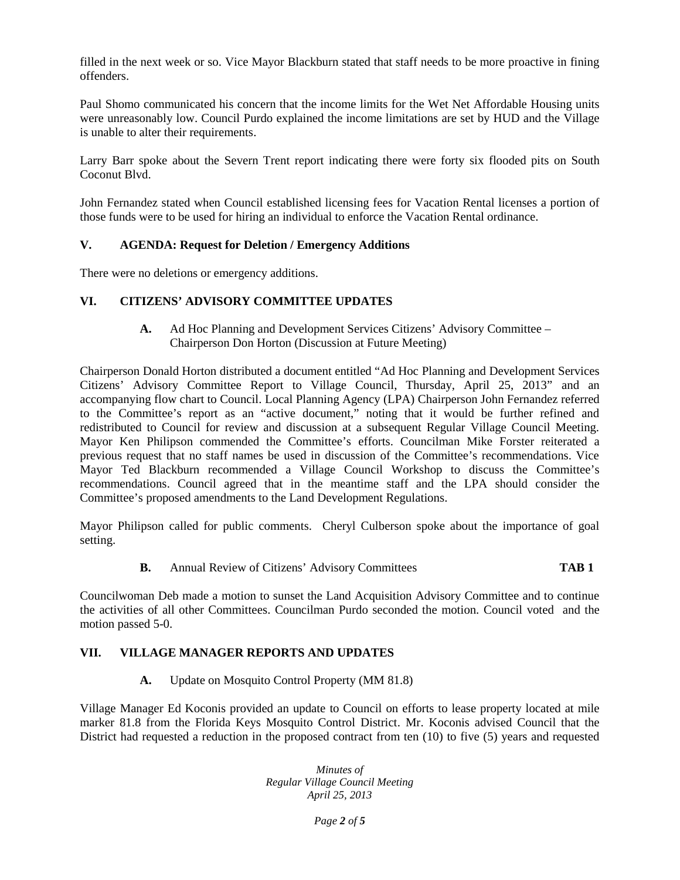filled in the next week or so. Vice Mayor Blackburn stated that staff needs to be more proactive in fining offenders.

Paul Shomo communicated his concern that the income limits for the Wet Net Affordable Housing units were unreasonably low. Council Purdo explained the income limitations are set by HUD and the Village is unable to alter their requirements.

Larry Barr spoke about the Severn Trent report indicating there were forty six flooded pits on South Coconut Blvd.

John Fernandez stated when Council established licensing fees for Vacation Rental licenses a portion of those funds were to be used for hiring an individual to enforce the Vacation Rental ordinance.

## **V. AGENDA: Request for Deletion / Emergency Additions**

There were no deletions or emergency additions.

## **VI. CITIZENS' ADVISORY COMMITTEE UPDATES**

**A.** Ad Hoc Planning and Development Services Citizens' Advisory Committee – Chairperson Don Horton (Discussion at Future Meeting)

Chairperson Donald Horton distributed a document entitled "Ad Hoc Planning and Development Services Citizens' Advisory Committee Report to Village Council, Thursday, April 25, 2013" and an accompanying flow chart to Council. Local Planning Agency (LPA) Chairperson John Fernandez referred to the Committee's report as an "active document," noting that it would be further refined and redistributed to Council for review and discussion at a subsequent Regular Village Council Meeting. Mayor Ken Philipson commended the Committee's efforts. Councilman Mike Forster reiterated a previous request that no staff names be used in discussion of the Committee's recommendations. Vice Mayor Ted Blackburn recommended a Village Council Workshop to discuss the Committee's recommendations. Council agreed that in the meantime staff and the LPA should consider the Committee's proposed amendments to the Land Development Regulations.

Mayor Philipson called for public comments. Cheryl Culberson spoke about the importance of goal setting.

## **B.** Annual Review of Citizens' Advisory Committees **TAB 1**

Councilwoman Deb made a motion to sunset the Land Acquisition Advisory Committee and to continue the activities of all other Committees. Councilman Purdo seconded the motion. Council voted and the motion passed 5-0.

## **VII. VILLAGE MANAGER REPORTS AND UPDATES**

**A.** Update on Mosquito Control Property (MM 81.8)

Village Manager Ed Koconis provided an update to Council on efforts to lease property located at mile marker 81.8 from the Florida Keys Mosquito Control District. Mr. Koconis advised Council that the District had requested a reduction in the proposed contract from ten (10) to five (5) years and requested

> *Minutes of Regular Village Council Meeting April 25, 2013*

> > *Page 2 of 5*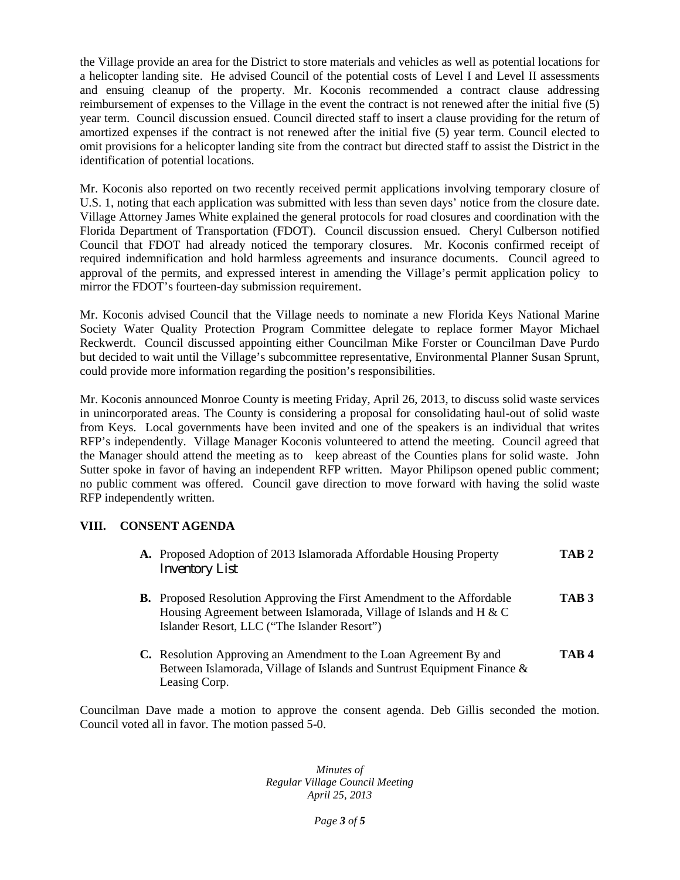the Village provide an area for the District to store materials and vehicles as well as potential locations for a helicopter landing site. He advised Council of the potential costs of Level I and Level II assessments and ensuing cleanup of the property. Mr. Koconis recommended a contract clause addressing reimbursement of expenses to the Village in the event the contract is not renewed after the initial five (5) year term. Council discussion ensued. Council directed staff to insert a clause providing for the return of amortized expenses if the contract is not renewed after the initial five (5) year term. Council elected to omit provisions for a helicopter landing site from the contract but directed staff to assist the District in the identification of potential locations.

Mr. Koconis also reported on two recently received permit applications involving temporary closure of U.S. 1, noting that each application was submitted with less than seven days' notice from the closure date. Village Attorney James White explained the general protocols for road closures and coordination with the Florida Department of Transportation (FDOT). Council discussion ensued. Cheryl Culberson notified Council that FDOT had already noticed the temporary closures. Mr. Koconis confirmed receipt of required indemnification and hold harmless agreements and insurance documents. Council agreed to approval of the permits, and expressed interest in amending the Village's permit application policy to mirror the FDOT's fourteen-day submission requirement.

Mr. Koconis advised Council that the Village needs to nominate a new Florida Keys National Marine Society Water Quality Protection Program Committee delegate to replace former Mayor Michael Reckwerdt. Council discussed appointing either Councilman Mike Forster or Councilman Dave Purdo but decided to wait until the Village's subcommittee representative, Environmental Planner Susan Sprunt, could provide more information regarding the position's responsibilities.

Mr. Koconis announced Monroe County is meeting Friday, April 26, 2013, to discuss solid waste services in unincorporated areas. The County is considering a proposal for consolidating haul-out of solid waste from Keys. Local governments have been invited and one of the speakers is an individual that writes RFP's independently. Village Manager Koconis volunteered to attend the meeting. Council agreed that the Manager should attend the meeting as to keep abreast of the Counties plans for solid waste. John Sutter spoke in favor of having an independent RFP written. Mayor Philipson opened public comment; no public comment was offered. Council gave direction to move forward with having the solid waste RFP independently written.

# **VIII. CONSENT AGENDA**

- **A.** Proposed Adoption of 2013 Islamorada Affordable Housing Property **TAB 2** Inventory List
- **B.** Proposed Resolution Approving the First Amendment to the Affordable **TAB 3** Housing Agreement between Islamorada, Village of Islands and H & C Islander Resort, LLC ("The Islander Resort")
- **C.** Resolution Approving an Amendment to the Loan Agreement By and **TAB 4** Between Islamorada, Village of Islands and Suntrust Equipment Finance & Leasing Corp.

Councilman Dave made a motion to approve the consent agenda. Deb Gillis seconded the motion. Council voted all in favor. The motion passed 5-0.

> *Minutes of Regular Village Council Meeting April 25, 2013*

> > *Page 3 of 5*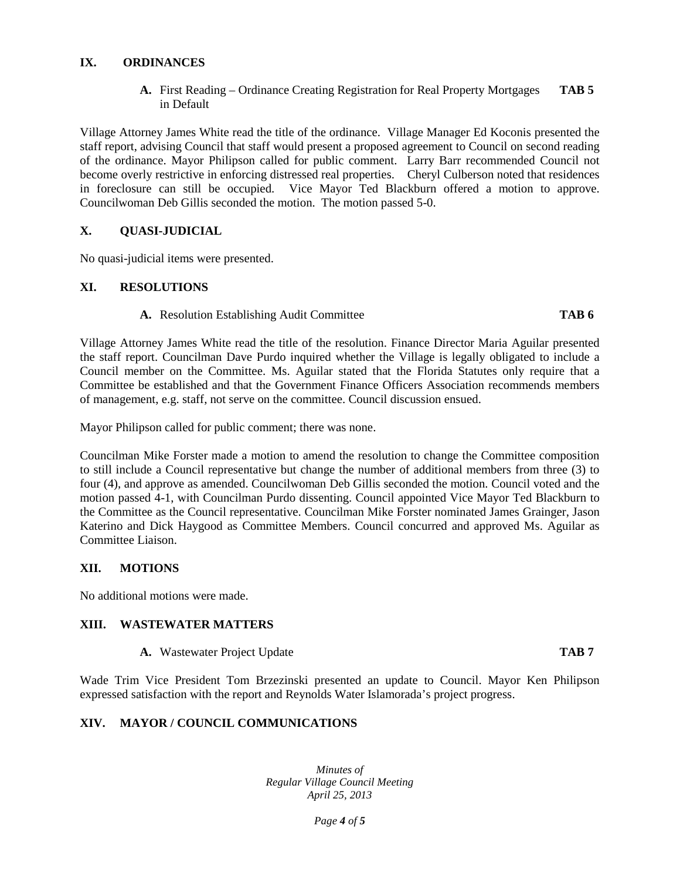#### **IX. ORDINANCES**

**A.** First Reading – Ordinance Creating Registration for Real Property Mortgages **TAB 5** in Default

Village Attorney James White read the title of the ordinance. Village Manager Ed Koconis presented the staff report, advising Council that staff would present a proposed agreement to Council on second reading of the ordinance. Mayor Philipson called for public comment. Larry Barr recommended Council not become overly restrictive in enforcing distressed real properties. Cheryl Culberson noted that residences in foreclosure can still be occupied. Vice Mayor Ted Blackburn offered a motion to approve. Councilwoman Deb Gillis seconded the motion. The motion passed 5-0.

## **X. X. QUASI-JUDICIAL**

No quasi-judicial items were presented.

## **XI. RESOLUTIONS**

#### **A.** Resolution Establishing Audit Committee **TAB 6**

Village Attorney James White read the title of the resolution. Finance Director Maria Aguilar presented the staff report. Councilman Dave Purdo inquired whether the Village is legally obligated to include a Council member on the Committee. Ms. Aguilar stated that the Florida Statutes only require that a Committee be established and that the Government Finance Officers Association recommends members of management, e.g. staff, not serve on the committee. Council discussion ensued.

Mayor Philipson called for public comment; there was none.

Councilman Mike Forster made a motion to amend the resolution to change the Committee composition to still include a Council representative but change the number of additional members from three (3) to four (4), and approve as amended. Councilwoman Deb Gillis seconded the motion. Council voted and the motion passed 4-1, with Councilman Purdo dissenting. Council appointed Vice Mayor Ted Blackburn to the Committee as the Council representative. Councilman Mike Forster nominated James Grainger, Jason Katerino and Dick Haygood as Committee Members. Council concurred and approved Ms. Aguilar as Committee Liaison.

## **XII. MOTIONS**

No additional motions were made.

## **XIII. WASTEWATER MATTERS**

**A.** Wastewater Project Update **TAB 7**

Wade Trim Vice President Tom Brzezinski presented an update to Council. Mayor Ken Philipson expressed satisfaction with the report and Reynolds Water Islamorada's project progress.

# **XIV. MAYOR / COUNCIL COMMUNICATIONS**

*Minutes of Regular Village Council Meeting April 25, 2013*

*Page 4 of 5*